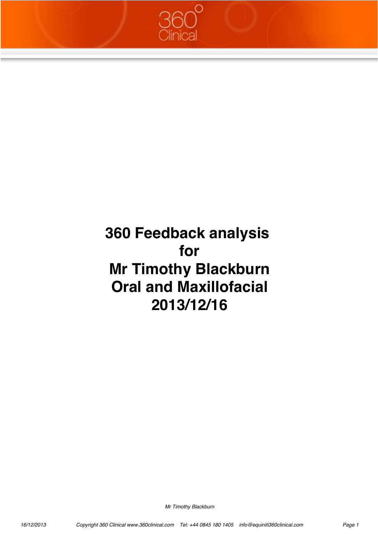

# **360 Feedback analysis for Mr Timothy Blackburn Oral and Maxillofacial 2013/12/16**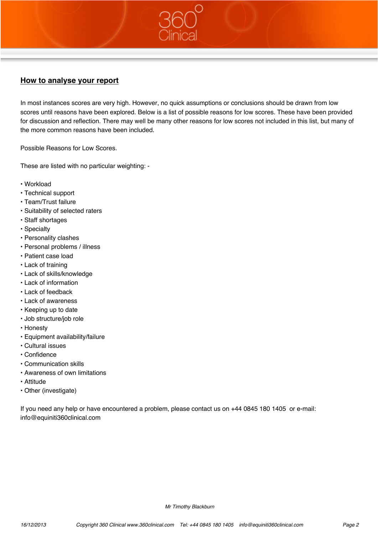# **How to analyse your report**

In most instances scores are very high. However, no quick assumptions or conclusions should be drawn from low scores until reasons have been explored. Below is a list of possible reasons for low scores. These have been provided for discussion and reflection. There may well be many other reasons for low scores not included in this list, but many of the more common reasons have been included.

Possible Reasons for Low Scores.

These are listed with no particular weighting: -

- Workload
- Technical support
- Team/Trust failure
- Suitability of selected raters
- Staff shortages
- Specialty
- Personality clashes
- Personal problems / illness
- Patient case load
- Lack of training
- Lack of skills/knowledge
- Lack of information
- Lack of feedback
- Lack of awareness
- Keeping up to date
- Job structure/job role
- Honesty
- Equipment availability/failure
- Cultural issues
- Confidence
- Communication skills
- Awareness of own limitations
- Attitude
- Other (investigate)

If you need any help or have encountered a problem, please contact us on +44 0845 180 1405 or e-mail: info@equiniti360clinical.com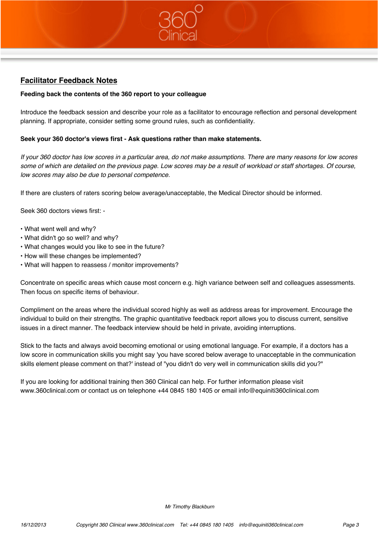# **Facilitator Feedback Notes**

## **Feeding back the contents of the 360 report to your colleague**

Introduce the feedback session and describe your role as a facilitator to encourage reflection and personal development planning. If appropriate, consider setting some ground rules, such as confidentiality.

#### **Seek your 360 doctor's views first - Ask questions rather than make statements.**

*If your 360 doctor has low scores in a particular area, do not make assumptions. There are many reasons for low scores some of which are detailed on the previous page. Low scores may be a result of workload or staff shortages. Of course, low scores may also be due to personal competence.*

If there are clusters of raters scoring below average/unacceptable, the Medical Director should be informed.

Seek 360 doctors views first: -

- What went well and why?
- What didn't go so well? and why?
- What changes would you like to see in the future?
- How will these changes be implemented?
- What will happen to reassess / monitor improvements?

Concentrate on specific areas which cause most concern e.g. high variance between self and colleagues assessments. Then focus on specific items of behaviour.

Compliment on the areas where the individual scored highly as well as address areas for improvement. Encourage the individual to build on their strengths. The graphic quantitative feedback report allows you to discuss current, sensitive issues in a direct manner. The feedback interview should be held in private, avoiding interruptions.

Stick to the facts and always avoid becoming emotional or using emotional language. For example, if a doctors has a low score in communication skills you might say 'you have scored below average to unacceptable in the communication skills element please comment on that?' instead of "you didn't do very well in communication skills did you?"

If you are looking for additional training then 360 Clinical can help. For further information please visit www.360clinical.com or contact us on telephone +44 0845 180 1405 or email info@equiniti360clinical.com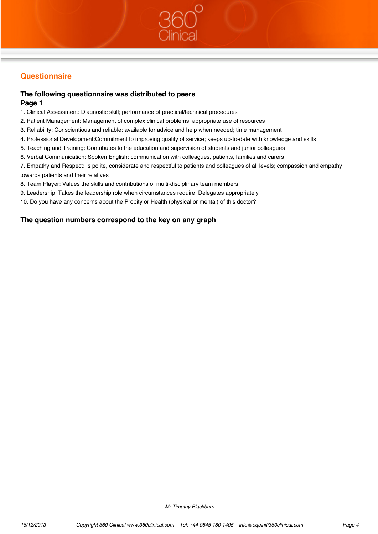# **Questionnaire**

# **The following questionnaire was distributed to peers**

## **Page 1**

- 1. Clinical Assessment: Diagnostic skill; performance of practical/technical procedures
- 2. Patient Management: Management of complex clinical problems; appropriate use of resources
- 3. Reliability: Conscientious and reliable; available for advice and help when needed; time management
- 4. Professional Development:Commitment to improving quality of service; keeps up-to-date with knowledge and skills
- 5. Teaching and Training: Contributes to the education and supervision of students and junior colleagues
- 6. Verbal Communication: Spoken English; communication with colleagues, patients, families and carers

7. Empathy and Respect: Is polite, considerate and respectful to patients and colleagues of all levels; compassion and empathy towards patients and their relatives

- 8. Team Player: Values the skills and contributions of multi-disciplinary team members
- 9. Leadership: Takes the leadership role when circumstances require; Delegates appropriately
- 10. Do you have any concerns about the Probity or Health (physical or mental) of this doctor?

## **The question numbers correspond to the key on any graph**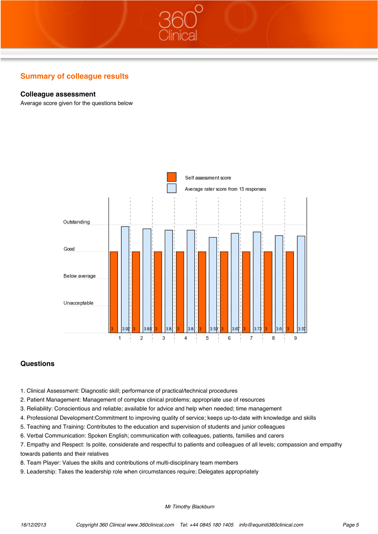## **Colleague assessment**

Average score given for the questions below



## **Questions**

- 1. Clinical Assessment: Diagnostic skill; performance of practical/technical procedures
- 2. Patient Management: Management of complex clinical problems; appropriate use of resources
- 3. Reliability: Conscientious and reliable; available for advice and help when needed; time management
- 4. Professional Development:Commitment to improving quality of service; keeps up-to-date with knowledge and skills
- 5. Teaching and Training: Contributes to the education and supervision of students and junior colleagues
- 6. Verbal Communication: Spoken English; communication with colleagues, patients, families and carers
- 7. Empathy and Respect: Is polite, considerate and respectful to patients and colleagues of all levels; compassion and empathy towards patients and their relatives
- 8. Team Player: Values the skills and contributions of multi-disciplinary team members
- 9. Leadership: Takes the leadership role when circumstances require; Delegates appropriately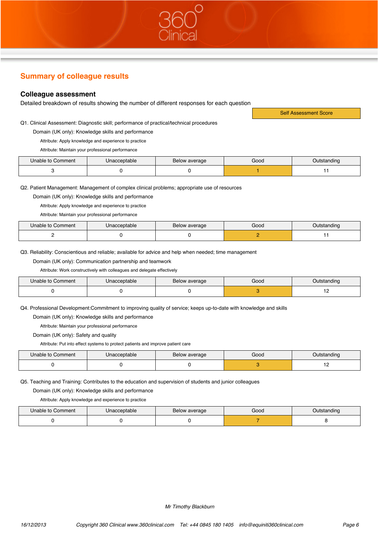# **Colleague assessment**

Detailed breakdown of results showing the number of different responses for each question

Q1. Clinical Assessment: Diagnostic skill; performance of practical/technical procedures

Domain (UK only): Knowledge skills and performance

Attribute: Apply knowledge and experience to practice

Attribute: Maintain your professional performance

| Unable to Comment | Unacceptable | Below average | Good | Outstanding |
|-------------------|--------------|---------------|------|-------------|
|                   |              |               |      |             |

Self Assessment Score

Q2. Patient Management: Management of complex clinical problems; appropriate use of resources

Domain (UK only): Knowledge skills and performance

Attribute: Apply knowledge and experience to practice

Attribute: Maintain your professional performance

| Unable to Comment | Unacceptable | Below average | Good | Outstanding |
|-------------------|--------------|---------------|------|-------------|
|                   |              |               |      |             |

Q3. Reliability: Conscientious and reliable; available for advice and help when needed; time management

Domain (UK only): Communication partnership and teamwork

Attribute: Work constructively with colleagues and delegate effectively

| Unable to Comment | Unacceptable | Below average | Good | Outstanding |
|-------------------|--------------|---------------|------|-------------|
|                   |              |               |      | . <u>.</u>  |

Q4. Professional Development:Commitment to improving quality of service; keeps up-to-date with knowledge and skills

Domain (UK only): Knowledge skills and performance

Attribute: Maintain your professional performance

Domain (UK only): Safety and quality

Attribute: Put into effect systems to protect patients and improve patient care

| Unable to Comment | Unacceptable | Below average | Good | Outstanding |
|-------------------|--------------|---------------|------|-------------|
|                   |              |               |      |             |

Q5. Teaching and Training: Contributes to the education and supervision of students and junior colleagues

Domain (UK only): Knowledge skills and performance

Attribute: Apply knowledge and experience to practice

| Unable to Comment | Jnacceptable | Below average | Good | Outstanding |
|-------------------|--------------|---------------|------|-------------|
|                   |              |               |      |             |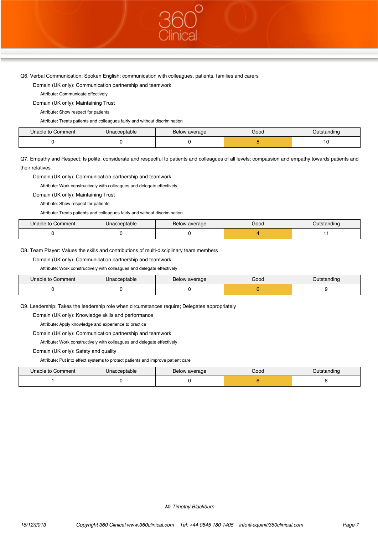Q6. Verbal Communication: Spoken English; communication with colleagues, patients, families and carers

Domain (UK only): Communication partnership and teamwork

Attribute: Communicate effectively

Domain (UK only): Maintaining Trust

Attribute: Show respect for patients

Attribute: Treats patients and colleagues fairly and without discrimination

| Unable to Comment | Unacceptable | Below average | Good | Dutstanding |
|-------------------|--------------|---------------|------|-------------|
|                   |              |               |      |             |

Q7. Empathy and Respect: Is polite, considerate and respectful to patients and colleagues of all levels; compassion and empathy towards patients and their relatives

Domain (UK only): Communication partnership and teamwork

Attribute: Work constructively with colleagues and delegate effectively

Domain (UK only): Maintaining Trust

Attribute: Show respect for patients

Attribute: Treats patients and colleagues fairly and without discrimination

| Unable to Comment | Unacceptable | Below average | Good | Outstanding |
|-------------------|--------------|---------------|------|-------------|
|                   |              |               |      |             |

#### Q8. Team Player: Values the skills and contributions of multi-disciplinary team members

Domain (UK only): Communication partnership and teamwork

Attribute: Work constructively with colleagues and delegate effectively

| Unable to Comment | Unacceptable | Below average | Good | Outstanding |
|-------------------|--------------|---------------|------|-------------|
|                   |              |               |      |             |

Q9. Leadership: Takes the leadership role when circumstances require; Delegates appropriately

Domain (UK only): Knowledge skills and performance

Attribute: Apply knowledge and experience to practice

Domain (UK only): Communication partnership and teamwork

Attribute: Work constructively with colleagues and delegate effectively

Domain (UK only): Safety and quality

Attribute: Put into effect systems to protect patients and improve patient care

| Unable to Comment | Unacceptable | Below average | Good | Outstanding |
|-------------------|--------------|---------------|------|-------------|
|                   |              |               |      |             |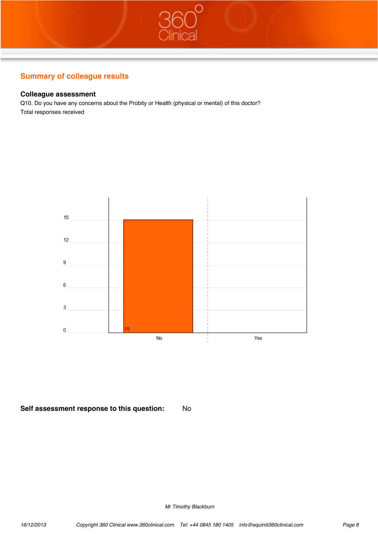## **Colleague assessment**

Q10. Do you have any concerns about the Probity or Health (physical or mental) of this doctor? Total responses received



## **Self assessment response to this question:** No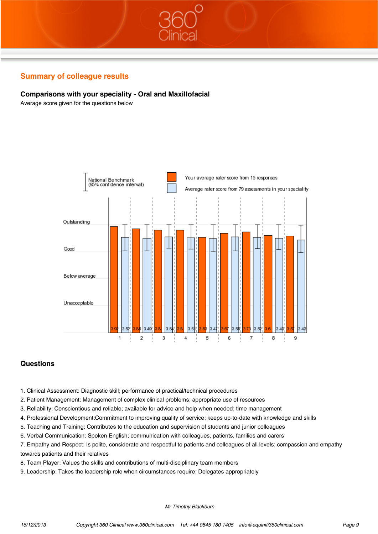## **Comparisons with your speciality - Oral and Maxillofacial**

Average score given for the questions below



## **Questions**

- 1. Clinical Assessment: Diagnostic skill; performance of practical/technical procedures
- 2. Patient Management: Management of complex clinical problems; appropriate use of resources
- 3. Reliability: Conscientious and reliable; available for advice and help when needed; time management
- 4. Professional Development:Commitment to improving quality of service; keeps up-to-date with knowledge and skills
- 5. Teaching and Training: Contributes to the education and supervision of students and junior colleagues
- 6. Verbal Communication: Spoken English; communication with colleagues, patients, families and carers
- 7. Empathy and Respect: Is polite, considerate and respectful to patients and colleagues of all levels; compassion and empathy towards patients and their relatives
- 8. Team Player: Values the skills and contributions of multi-disciplinary team members
- 9. Leadership: Takes the leadership role when circumstances require; Delegates appropriately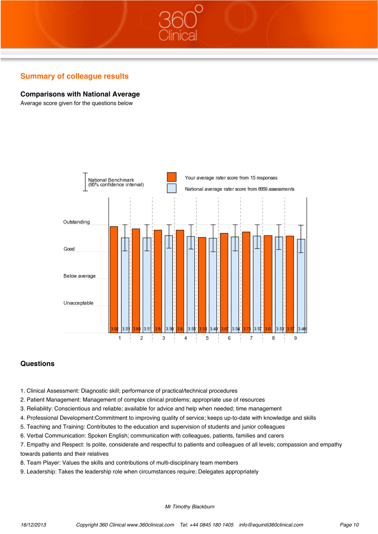## **Comparisons with National Average**

Average score given for the questions below



#### **Questions**

- 1. Clinical Assessment: Diagnostic skill; performance of practical/technical procedures
- 2. Patient Management: Management of complex clinical problems; appropriate use of resources
- 3. Reliability: Conscientious and reliable; available for advice and help when needed; time management
- 4. Professional Development:Commitment to improving quality of service; keeps up-to-date with knowledge and skills
- 5. Teaching and Training: Contributes to the education and supervision of students and junior colleagues
- 6. Verbal Communication: Spoken English; communication with colleagues, patients, families and carers
- 7. Empathy and Respect: Is polite, considerate and respectful to patients and colleagues of all levels; compassion and empathy towards patients and their relatives
- 8. Team Player: Values the skills and contributions of multi-disciplinary team members
- 9. Leadership: Takes the leadership role when circumstances require; Delegates appropriately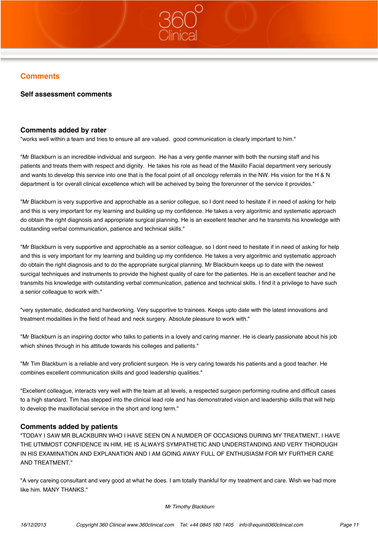# **Comments**

### **Self assessment comments**

#### **Comments added by rater**

"works well within a team and tries to ensure all are valued. good communication is clearly important to him."

"Mr Blackburn is an incredible individual and surgeon. He has a very gentle manner with both the nursing staff and his patients and treats them with respect and dignity. He takes his role as head of the Maxillo Facial department very seriously and wants to develop this service into one that is the focal point of all oncology referrals in the NW. His vision for the H & N department is for overall clinical excellence which will be acheived by being the forerunner of the service it provides."

"Mr Blackburn is very supportive and approchable as a senior collegue, so I dont need to hesitate if in need of asking for help and this is very important for my learning and building up my confidence. He takes a very algoritmic and systematic approach do obtain the right diagnosis and appropriate surgical planning. He is an excellent teacher and he transmits his knowledge with outstanding verbal communication, patience and technical skills."

"Mr Blackburn is very supportive and approchable as a senior colleague, so I dont need to hesitate if in need of asking for help and this is very important for my learning and building up my confidence. He takes a very algoritmic and systematic approach do obtain the right diagnosis and to do the appropriate surgical planning. Mr Blackburn keeps up to date with the newest surcigal techniques and instruments to provide the highest quality of care for the patientes. He is an excellent teacher and he transmits his knowledge with outstanding verbal communication, patience and technical skills. I find it a privilege to have such a senior colleague to work with."

"very systematic, dedicated and hardworking. Very supportive to trainees. Keeps upto date with the latest innovations and treatment modalities in the field of head and neck surgery. Absolute pleasure to work with."

"Mr Blackburn is an inspiring doctor who talks to patients in a lovely and caring manner. He is clearly passionate about his job which shines through in his attitude towards his colleges and patients."

"Mr Tim Blackburn is a reliable and very proficient surgeon. He is very caring towards his patients and a good teacher. He combines excellent communication skills and good leadership qualities."

"Excellent colleague, interacts very well with the team at all levels, a respected surgeon performing routine and difficult cases to a high standard. Tim has stepped into the clinical lead role and has demonstrated vision and leadership skills that will help to develop the maxillofacial service in the short and long term."

## **Comments added by patients**

"TODAY I SAW MR BLACKBURN WHO I HAVE SEEN ON A NUMDER OF OCCASIONS DURING MY TREATMENT, I HAVE THE UTMMOST CONFIDENCE IN HIM, HE IS ALWAYS SYMPATHETIC AND UNDERSTANDING AND VERY THOROUGH IN HIS EXAMINATION AND EXPLANATION AND I AM GOING AWAY FULL OF ENTHUSIASM FOR MY FURTHER CARE AND TREATMENT."

"A very careing consultant and very good at what he does. I am totally thankful for my treatment and care. Wish we had more like him. MANY THANKS."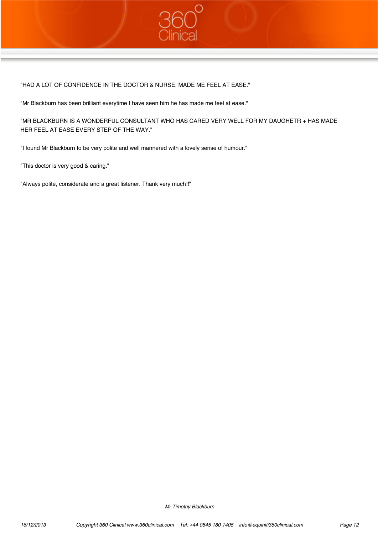

"HAD A LOT OF CONFIDENCE IN THE DOCTOR & NURSE. MADE ME FEEL AT EASE."

"Mr Blackburn has been brilliant everytime I have seen him he has made me feel at ease."

"MR BLACKBURN IS A WONDERFUL CONSULTANT WHO HAS CARED VERY WELL FOR MY DAUGHETR + HAS MADE HER FEEL AT EASE EVERY STEP OF THE WAY."

"I found Mr Blackburn to be very polite and well mannered with a lovely sense of humour."

"This doctor is very good & caring."

"Always polite, considerate and a great listener. Thank very much!!"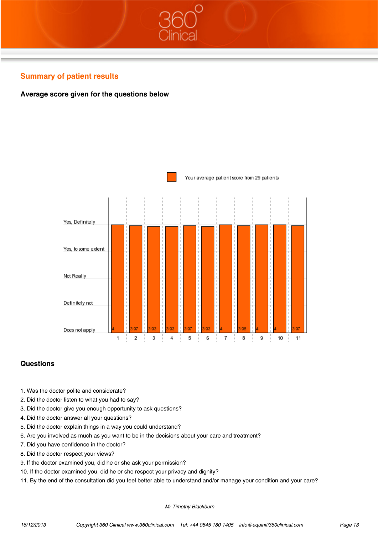

## **Average score given for the questions below**



## **Questions**

- 1. Was the doctor polite and considerate?
- 2. Did the doctor listen to what you had to say?
- 3. Did the doctor give you enough opportunity to ask questions?
- 4. Did the doctor answer all your questions?
- 5. Did the doctor explain things in a way you could understand?
- 6. Are you involved as much as you want to be in the decisions about your care and treatment?
- 7. Did you have confidence in the doctor?
- 8. Did the doctor respect your views?
- 9. If the doctor examined you, did he or she ask your permission?
- 10. If the doctor examined you, did he or she respect your privacy and dignity?
- 11. By the end of the consultation did you feel better able to understand and/or manage your condition and your care?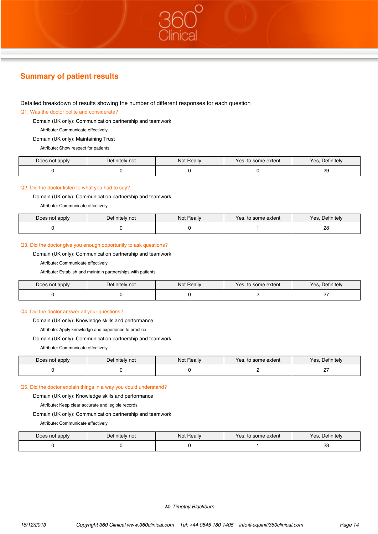# **Summary of patient results**

#### Detailed breakdown of results showing the number of different responses for each question

#### Q1. Was the doctor polite and considerate?

Domain (UK only): Communication partnership and teamwork

Attribute: Communicate effectively

Domain (UK only): Maintaining Trust

Attribute: Show respect for patients

| Does not apply | Definitely not | Not Really | Yes, to some extent | Yes.<br>. Definitely |
|----------------|----------------|------------|---------------------|----------------------|
|                |                |            |                     | o<br>∠⊃              |

#### Q2. Did the doctor listen to what you had to say?

Domain (UK only): Communication partnership and teamwork

Attribute: Communicate effectively

| Does not apply | Definitely not | Not Really | Yes, to some extent | Yes.<br>Definitely |
|----------------|----------------|------------|---------------------|--------------------|
|                |                |            |                     | nc<br>20.          |

#### Q3. Did the doctor give you enough opportunity to ask questions?

Domain (UK only): Communication partnership and teamwork

Attribute: Communicate effectively

Attribute: Establish and maintain partnerships with patients

| Does not apply | Definitely not | Not Really | Yes, to some extent | Definitely<br>Yes. |
|----------------|----------------|------------|---------------------|--------------------|
|                |                |            |                     |                    |

#### Q4. Did the doctor answer all your questions?

Domain (UK only): Knowledge skills and performance

Attribute: Apply knowledge and experience to practice

Domain (UK only): Communication partnership and teamwork

Attribute: Communicate effectively

| Does not apply | Definitely not | Not Really | Yes, to some extent | Definitely<br>Yes. |
|----------------|----------------|------------|---------------------|--------------------|
|                |                |            |                     |                    |

#### Q5. Did the doctor explain things in a way you could understand?

Domain (UK only): Knowledge skills and performance

Attribute: Keep clear accurate and legible records

Domain (UK only): Communication partnership and teamwork

Attribute: Communicate effectively

| Does not apply | Definitely not | Not Really | Yes, to some extent | . Definitely<br>Yes. |
|----------------|----------------|------------|---------------------|----------------------|
|                |                |            |                     | 28                   |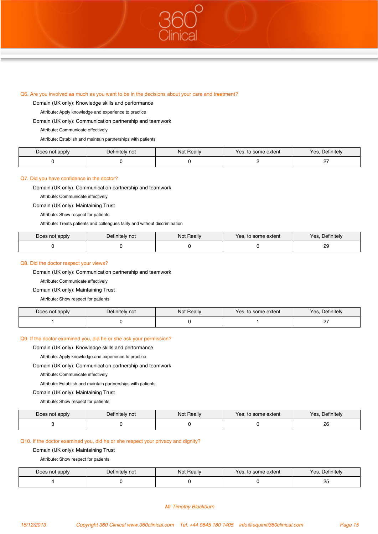#### Q6. Are you involved as much as you want to be in the decisions about your care and treatment?

Domain (UK only): Knowledge skills and performance

Attribute: Apply knowledge and experience to practice

Domain (UK only): Communication partnership and teamwork

Attribute: Communicate effectively

Attribute: Establish and maintain partnerships with patients

| Does not apply | Definitely not | Not Really | Yes, to some extent | , Definitely<br>Yes, |
|----------------|----------------|------------|---------------------|----------------------|
|                |                |            |                     |                      |

#### Q7. Did you have confidence in the doctor?

Domain (UK only): Communication partnership and teamwork

Attribute: Communicate effectively

Domain (UK only): Maintaining Trust

Attribute: Show respect for patients

Attribute: Treats patients and colleagues fairly and without discrimination

| Does not apply | Definitely not | <b>Not Really</b> | . to some extent<br>Yes. | $\Delta$ efinitely<br>Yes. |
|----------------|----------------|-------------------|--------------------------|----------------------------|
|                |                |                   |                          | ററ<br>حے<br>__             |

#### Q8. Did the doctor respect your views?

Domain (UK only): Communication partnership and teamwork

Attribute: Communicate effectively

#### Domain (UK only): Maintaining Trust

Attribute: Show respect for patients

| Does not apply | Definitely not | <b>Not Really</b> | Yes, to some extent | Yes.<br>. Definitely |
|----------------|----------------|-------------------|---------------------|----------------------|
|                |                |                   |                     | --<br>-              |

#### Q9. If the doctor examined you, did he or she ask your permission?

Domain (UK only): Knowledge skills and performance

Attribute: Apply knowledge and experience to practice

Domain (UK only): Communication partnership and teamwork

Attribute: Communicate effectively

Attribute: Establish and maintain partnerships with patients

Domain (UK only): Maintaining Trust

Attribute: Show respect for patients

| Does not apply | Definitely not | Not Really | Yes, to some extent | Definitely<br>Yes, |
|----------------|----------------|------------|---------------------|--------------------|
|                |                |            |                     | 26                 |

#### Q10. If the doctor examined you, did he or she respect your privacy and dignity?

Domain (UK only): Maintaining Trust

Attribute: Show respect for patients

| Does not apply | Definitely not | Not Really | Yes, to some extent | , Definitely<br>Yes. |
|----------------|----------------|------------|---------------------|----------------------|
|                |                |            |                     | ້                    |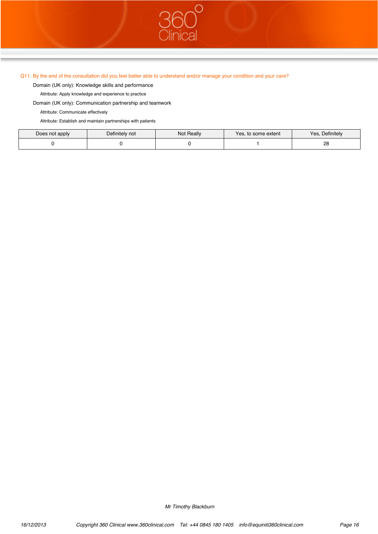#### Q11. By the end of the consultation did you feel better able to understand and/or manage your condition and your care?

Domain (UK only): Knowledge skills and performance

Attribute: Apply knowledge and experience to practice

Domain (UK only): Communication partnership and teamwork

Attribute: Communicate effectively

Attribute: Establish and maintain partnerships with patients

| Does not apply | Definitely not | <b>Not Really</b> | Yes, to some extent | Yes<br>Definitely |
|----------------|----------------|-------------------|---------------------|-------------------|
|                |                |                   |                     | na<br>∠o          |